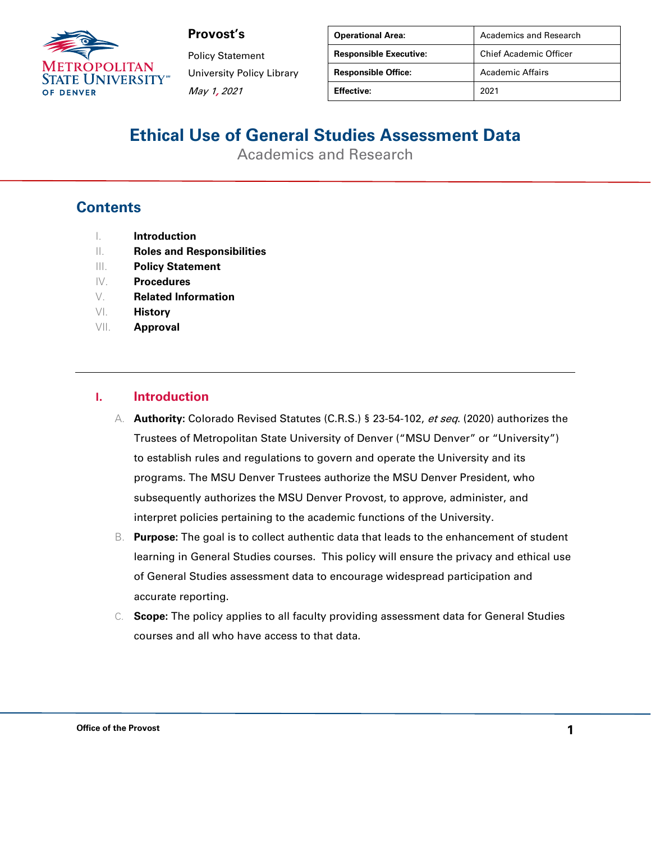

Policy Statement University Policy Library May 1, 2021

| <b>Operational Area:</b>      | Academics and Research        |
|-------------------------------|-------------------------------|
| <b>Responsible Executive:</b> | <b>Chief Academic Officer</b> |
| <b>Responsible Office:</b>    | <b>Academic Affairs</b>       |
| <b>Effective:</b>             | 2021                          |

# **Ethical Use of General Studies Assessment Data**

Academics and Research

#### **Contents**

- I. **Introduction**
- II. **Roles and Responsibilities**
- III. **Policy Statement**
- IV. **Procedures**
- V. **Related Information**
- VI. **History**
- VII. **Approval**

#### **I. Introduction**

- A. **Authority:** Colorado Revised Statutes (C.R.S.) § 23-54-102, et seq. (2020) authorizes the Trustees of Metropolitan State University of Denver ("MSU Denver" or "University") to establish rules and regulations to govern and operate the University and its programs. The MSU Denver Trustees authorize the MSU Denver President, who subsequently authorizes the MSU Denver Provost, to approve, administer, and interpret policies pertaining to the academic functions of the University.
- B. **Purpose:** The goal is to collect authentic data that leads to the enhancement of student learning in General Studies courses. This policy will ensure the privacy and ethical use of General Studies assessment data to encourage widespread participation and accurate reporting.
- C. **Scope:** The policy applies to all faculty providing assessment data for General Studies courses and all who have access to that data.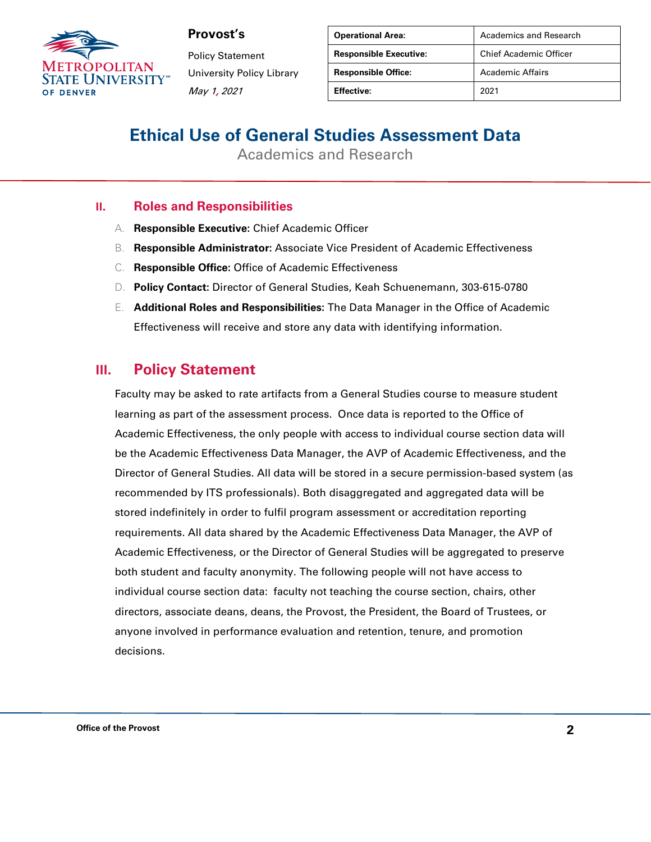

Policy Statement University Policy Library May 1, 2021

| <b>Operational Area:</b>      | Academics and Research        |
|-------------------------------|-------------------------------|
| <b>Responsible Executive:</b> | <b>Chief Academic Officer</b> |
| <b>Responsible Office:</b>    | Academic Affairs              |
| Effective:                    | 2021                          |

# **Ethical Use of General Studies Assessment Data**

Academics and Research

#### **II. Roles and Responsibilities**

- A. **Responsible Executive:** Chief Academic Officer
- B. **Responsible Administrator:** Associate Vice President of Academic Effectiveness
- C. **Responsible Office:** Office of Academic Effectiveness
- D. **Policy Contact:** Director of General Studies, Keah Schuenemann, 303-615-0780
- E. **Additional Roles and Responsibilities:** The Data Manager in the Office of Academic Effectiveness will receive and store any data with identifying information.

#### **III. Policy Statement**

Faculty may be asked to rate artifacts from a General Studies course to measure student learning as part of the assessment process. Once data is reported to the Office of Academic Effectiveness, the only people with access to individual course section data will be the Academic Effectiveness Data Manager, the AVP of Academic Effectiveness, and the Director of General Studies. All data will be stored in a secure permission-based system (as recommended by ITS professionals). Both disaggregated and aggregated data will be stored indefinitely in order to fulfil program assessment or accreditation reporting requirements. All data shared by the Academic Effectiveness Data Manager, the AVP of Academic Effectiveness, or the Director of General Studies will be aggregated to preserve both student and faculty anonymity. The following people will not have access to individual course section data: faculty not teaching the course section, chairs, other directors, associate deans, deans, the Provost, the President, the Board of Trustees, or anyone involved in performance evaluation and retention, tenure, and promotion decisions.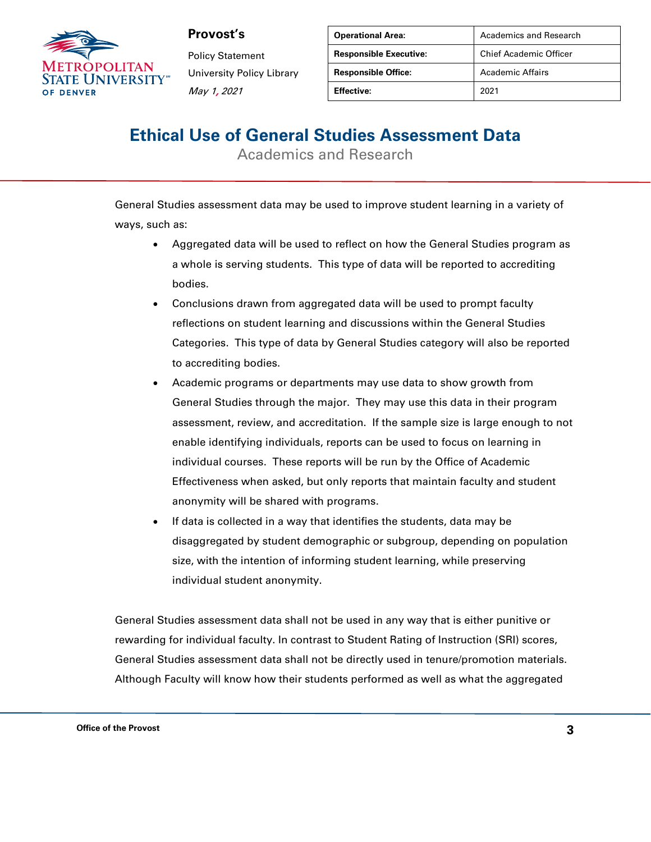

Policy Statement University Policy Library May 1, 2021

| <b>Operational Area:</b>      | Academics and Research        |
|-------------------------------|-------------------------------|
| <b>Responsible Executive:</b> | <b>Chief Academic Officer</b> |
| <b>Responsible Office:</b>    | Academic Affairs              |
| Effective:                    | 2021                          |

# **Ethical Use of General Studies Assessment Data**

Academics and Research

General Studies assessment data may be used to improve student learning in a variety of ways, such as:

- Aggregated data will be used to reflect on how the General Studies program as a whole is serving students. This type of data will be reported to accrediting bodies.
- Conclusions drawn from aggregated data will be used to prompt faculty reflections on student learning and discussions within the General Studies Categories. This type of data by General Studies category will also be reported to accrediting bodies.
- Academic programs or departments may use data to show growth from General Studies through the major. They may use this data in their program assessment, review, and accreditation. If the sample size is large enough to not enable identifying individuals, reports can be used to focus on learning in individual courses. These reports will be run by the Office of Academic Effectiveness when asked, but only reports that maintain faculty and student anonymity will be shared with programs.
- If data is collected in a way that identifies the students, data may be disaggregated by student demographic or subgroup, depending on population size, with the intention of informing student learning, while preserving individual student anonymity.

General Studies assessment data shall not be used in any way that is either punitive or rewarding for individual faculty. In contrast to Student Rating of Instruction (SRI) scores, General Studies assessment data shall not be directly used in tenure/promotion materials. Although Faculty will know how their students performed as well as what the aggregated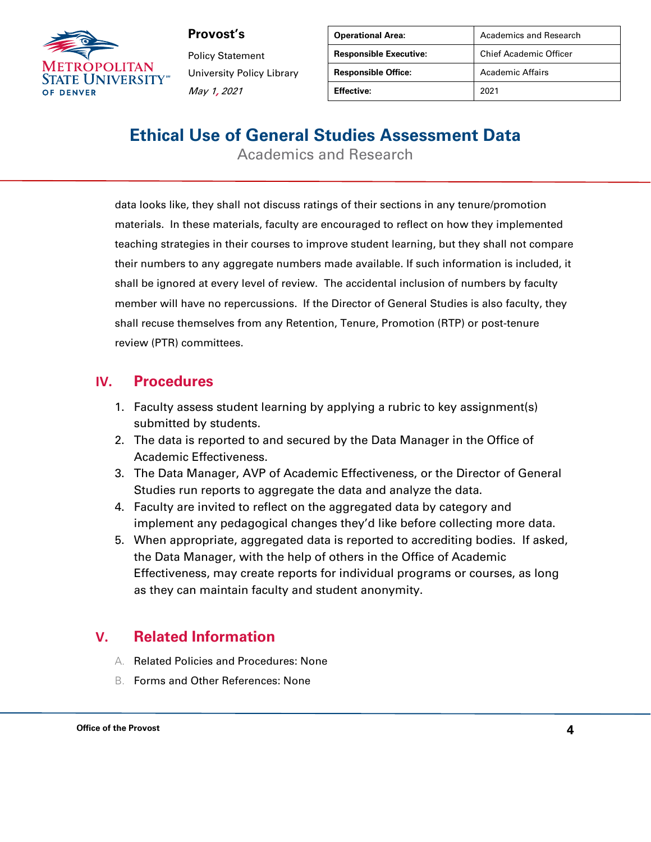

Policy Statement University Policy Library May 1, 2021

| <b>Operational Area:</b>      | <b>Academics and Research</b> |
|-------------------------------|-------------------------------|
| <b>Responsible Executive:</b> | <b>Chief Academic Officer</b> |
| <b>Responsible Office:</b>    | Academic Affairs              |
| <b>Effective:</b>             | 2021                          |

# **Ethical Use of General Studies Assessment Data**

Academics and Research

data looks like, they shall not discuss ratings of their sections in any tenure/promotion materials. In these materials, faculty are encouraged to reflect on how they implemented teaching strategies in their courses to improve student learning, but they shall not compare their numbers to any aggregate numbers made available. If such information is included, it shall be ignored at every level of review. The accidental inclusion of numbers by faculty member will have no repercussions. If the Director of General Studies is also faculty, they shall recuse themselves from any Retention, Tenure, Promotion (RTP) or post-tenure review (PTR) committees.

#### **IV. Procedures**

- 1. Faculty assess student learning by applying a rubric to key assignment(s) submitted by students.
- 2. The data is reported to and secured by the Data Manager in the Office of Academic Effectiveness.
- 3. The Data Manager, AVP of Academic Effectiveness, or the Director of General Studies run reports to aggregate the data and analyze the data.
- 4. Faculty are invited to reflect on the aggregated data by category and implement any pedagogical changes they'd like before collecting more data.
- 5. When appropriate, aggregated data is reported to accrediting bodies. If asked, the Data Manager, with the help of others in the Office of Academic Effectiveness, may create reports for individual programs or courses, as long as they can maintain faculty and student anonymity.

### **V. Related Information**

- A. Related Policies and Procedures: None
- B. Forms and Other References: None